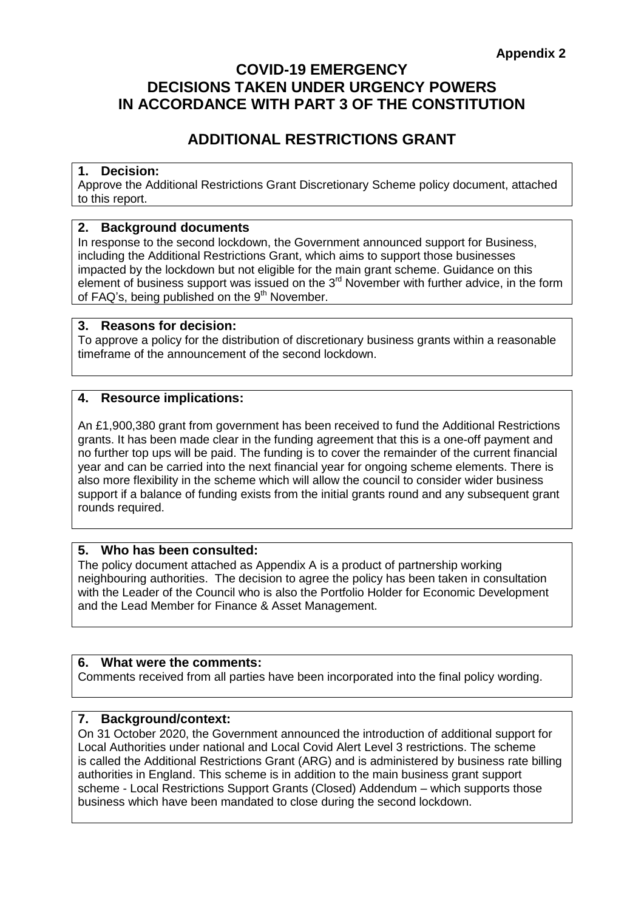#### **COVID-19 EMERGENCY DECISIONS TAKEN UNDER URGENCY POWERS IN ACCORDANCE WITH PART 3 OF THE CONSTITUTION**

#### **ADDITIONAL RESTRICTIONS GRANT**

#### **1. Decision:**

Approve the Additional Restrictions Grant Discretionary Scheme policy document, attached to this report.

#### **2. Background documents**

In response to the second lockdown, the Government announced support for Business, including the Additional Restrictions Grant, which aims to support those businesses impacted by the lockdown but not eligible for the main grant scheme. Guidance on this element of business support was issued on the  $3<sup>rd</sup>$  November with further advice, in the form of FAQ's, being published on the  $9<sup>th</sup>$  November.

#### **3. Reasons for decision:**

To approve a policy for the distribution of discretionary business grants within a reasonable timeframe of the announcement of the second lockdown.

#### **4. Resource implications:**

An £1,900,380 grant from government has been received to fund the Additional Restrictions grants. It has been made clear in the funding agreement that this is a one-off payment and no further top ups will be paid. The funding is to cover the remainder of the current financial year and can be carried into the next financial year for ongoing scheme elements. There is also more flexibility in the scheme which will allow the council to consider wider business support if a balance of funding exists from the initial grants round and any subsequent grant rounds required.

#### **5. Who has been consulted:**

The policy document attached as Appendix A is a product of partnership working neighbouring authorities. The decision to agree the policy has been taken in consultation with the Leader of the Council who is also the Portfolio Holder for Economic Development and the Lead Member for Finance & Asset Management.

#### **6. What were the comments:**

Comments received from all parties have been incorporated into the final policy wording.

#### **7. Background/context:**

On 31 October 2020, the Government announced the introduction of additional support for Local Authorities under national and Local Covid Alert Level 3 restrictions. The scheme is called the Additional Restrictions Grant (ARG) and is administered by business rate billing authorities in England. This scheme is in addition to the main business grant support scheme - Local Restrictions Support Grants (Closed) Addendum – which supports those business which have been mandated to close during the second lockdown.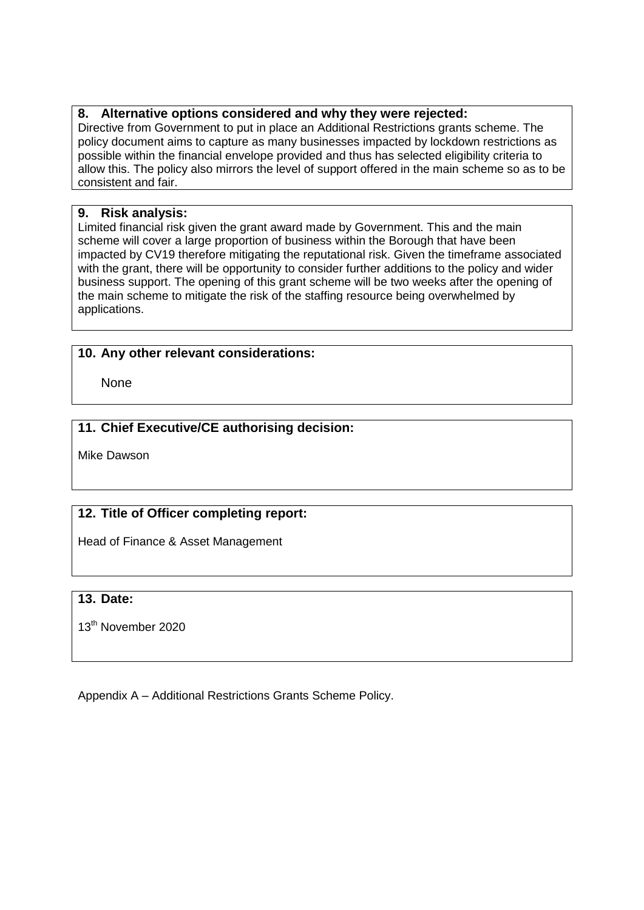#### **8. Alternative options considered and why they were rejected:**

Directive from Government to put in place an Additional Restrictions grants scheme. The policy document aims to capture as many businesses impacted by lockdown restrictions as possible within the financial envelope provided and thus has selected eligibility criteria to allow this. The policy also mirrors the level of support offered in the main scheme so as to be consistent and fair.

#### **9. Risk analysis:**

Limited financial risk given the grant award made by Government. This and the main scheme will cover a large proportion of business within the Borough that have been impacted by CV19 therefore mitigating the reputational risk. Given the timeframe associated with the grant, there will be opportunity to consider further additions to the policy and wider business support. The opening of this grant scheme will be two weeks after the opening of the main scheme to mitigate the risk of the staffing resource being overwhelmed by applications.

#### **10. Any other relevant considerations:**

**None** 

#### **11. Chief Executive/CE authorising decision:**

Mike Dawson

#### **12. Title of Officer completing report:**

Head of Finance & Asset Management

#### **13. Date:**

13<sup>th</sup> November 2020

Appendix A – Additional Restrictions Grants Scheme Policy.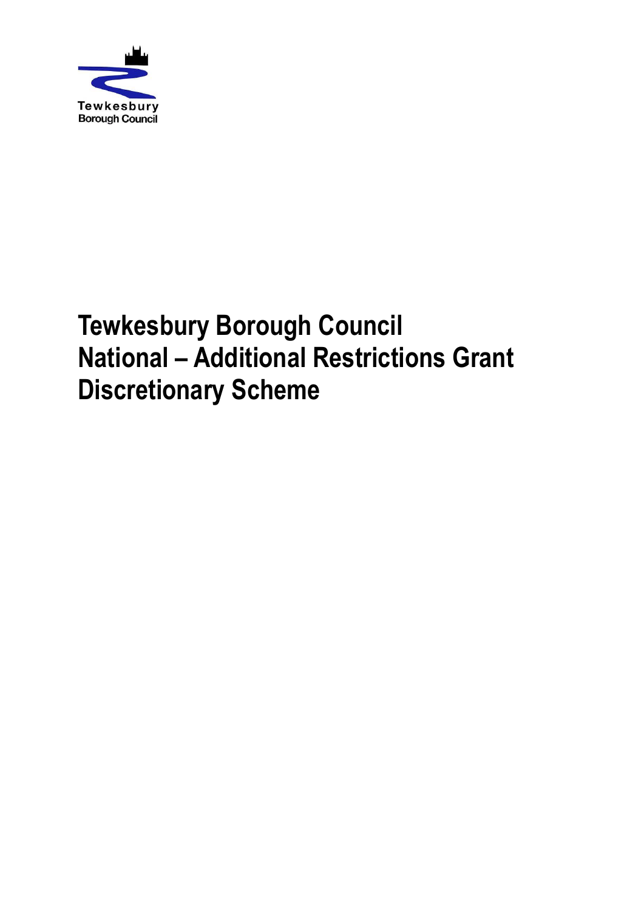

# **Tewkesbury Borough Council National – Additional Restrictions Grant Discretionary Scheme**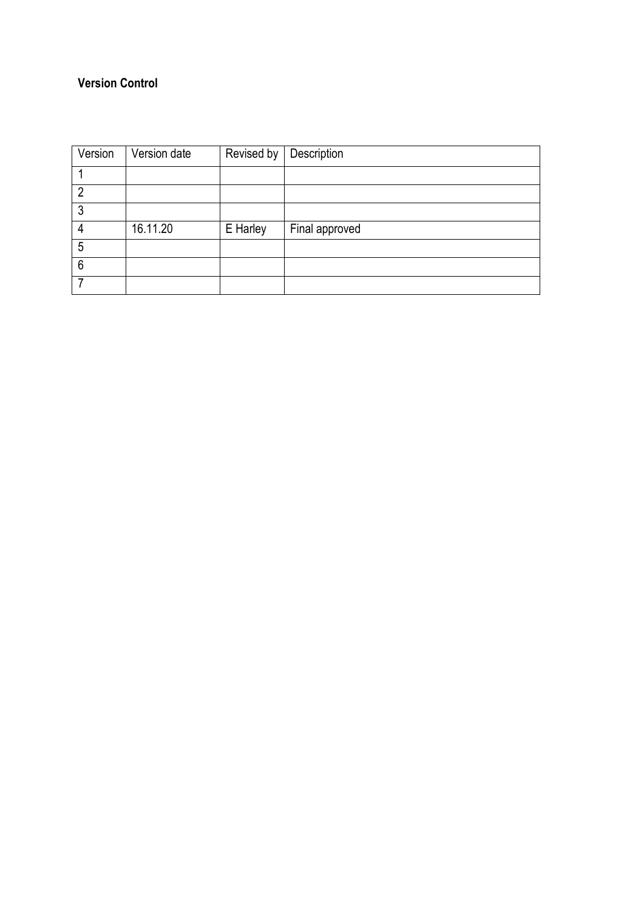#### **Version Control**

| Version | Version date | Revised by | Description    |
|---------|--------------|------------|----------------|
|         |              |            |                |
| 2       |              |            |                |
| 3       |              |            |                |
| 4       | 16.11.20     | E Harley   | Final approved |
| 5       |              |            |                |
| 6       |              |            |                |
|         |              |            |                |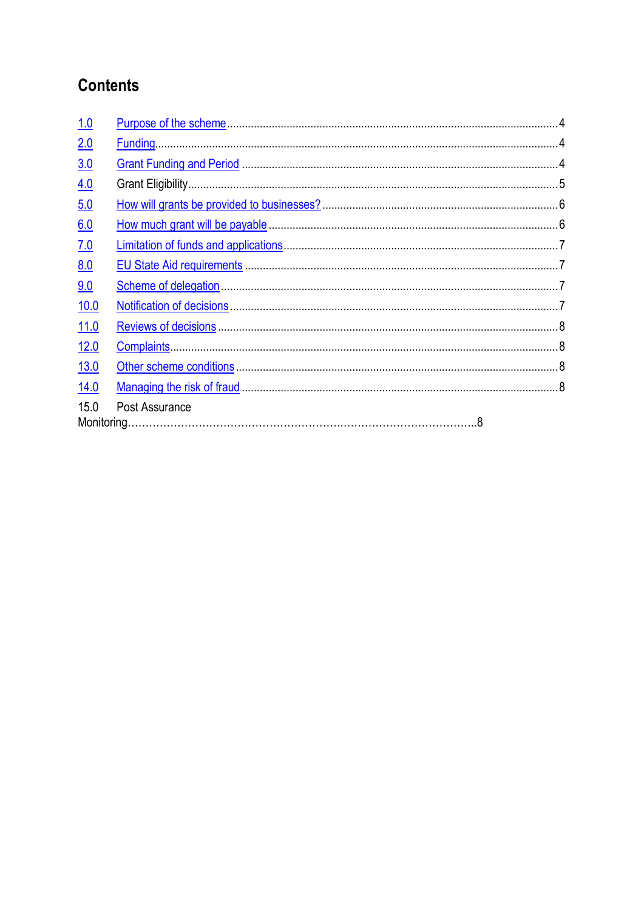# **Contents**

| 1.0         |                |  |
|-------------|----------------|--|
| 2.0         |                |  |
| 3.0         |                |  |
| 4.0         |                |  |
| 5.0         |                |  |
| 6.0         |                |  |
| 7.0         |                |  |
| <u>8.0</u>  |                |  |
| 9.0         |                |  |
| 10.0        |                |  |
| 11.0        |                |  |
| 12.0        |                |  |
| <u>13.0</u> |                |  |
| 14.0        |                |  |
| 15.0        | Post Assurance |  |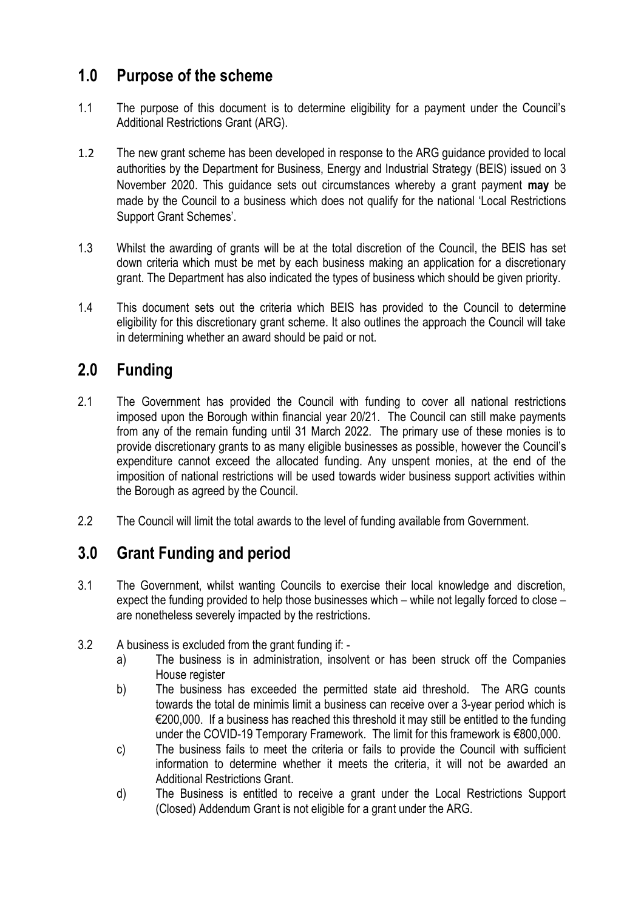## <span id="page-5-0"></span>**1.0 Purpose of the scheme**

- 1.1 The purpose of this document is to determine eligibility for a payment under the Council's Additional Restrictions Grant (ARG).
- 1.2 The new grant scheme has been developed in response to the ARG guidance provided to local authorities by the Department for Business, Energy and Industrial Strategy (BEIS) issued on 3 November 2020. This guidance sets out circumstances whereby a grant payment **may** be made by the Council to a business which does not qualify for the national 'Local Restrictions Support Grant Schemes'.
- 1.3 Whilst the awarding of grants will be at the total discretion of the Council, the BEIS has set down criteria which must be met by each business making an application for a discretionary grant. The Department has also indicated the types of business which should be given priority.
- 1.4 This document sets out the criteria which BEIS has provided to the Council to determine eligibility for this discretionary grant scheme. It also outlines the approach the Council will take in determining whether an award should be paid or not.

# <span id="page-5-1"></span>**2.0 Funding**

- 2.1 The Government has provided the Council with funding to cover all national restrictions imposed upon the Borough within financial year 20/21. The Council can still make payments from any of the remain funding until 31 March 2022. The primary use of these monies is to provide discretionary grants to as many eligible businesses as possible, however the Council's expenditure cannot exceed the allocated funding. Any unspent monies, at the end of the imposition of national restrictions will be used towards wider business support activities within the Borough as agreed by the Council.
- 2.2 The Council will limit the total awards to the level of funding available from Government.

# <span id="page-5-2"></span>**3.0 Grant Funding and period**

- 3.1 The Government, whilst wanting Councils to exercise their local knowledge and discretion, expect the funding provided to help those businesses which – while not legally forced to close – are nonetheless severely impacted by the restrictions.
- 3.2 A business is excluded from the grant funding if:
	- a) The business is in administration, insolvent or has been struck off the Companies House register
	- b) The business has exceeded the permitted state aid threshold. The ARG counts towards the total de minimis limit a business can receive over a 3-year period which is €200,000. If a business has reached this threshold it may still be entitled to the funding under the COVID-19 Temporary Framework. The limit for this framework is €800,000.
	- c) The business fails to meet the criteria or fails to provide the Council with sufficient information to determine whether it meets the criteria, it will not be awarded an Additional Restrictions Grant.
	- d) The Business is entitled to receive a grant under the Local Restrictions Support (Closed) Addendum Grant is not eligible for a grant under the ARG.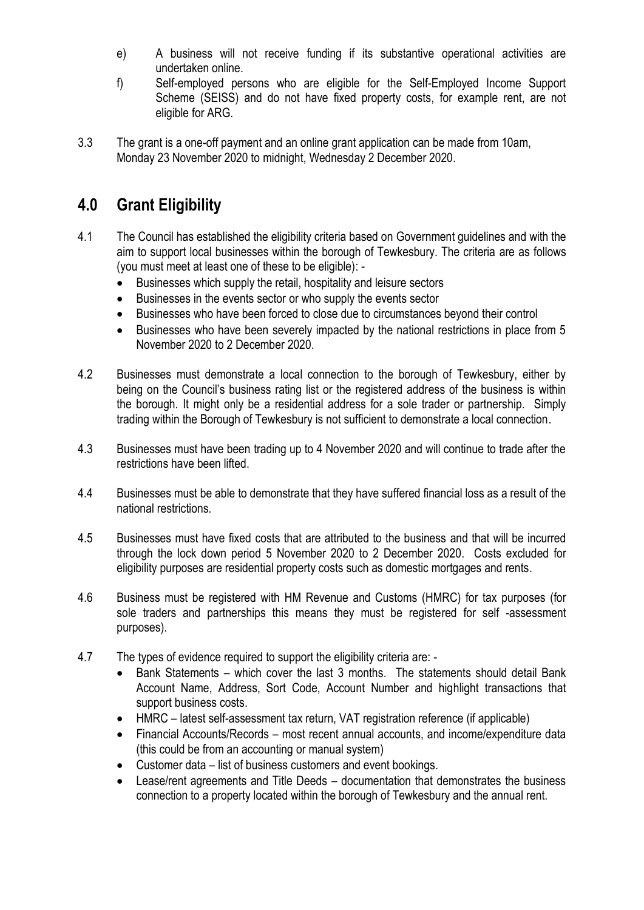- e) A business will not receive funding if its substantive operational activities are undertaken online.
- f) Self-employed persons who are eligible for the Self-Employed Income Support Scheme (SEISS) and do not have fixed property costs, for example rent, are not eligible for ARG.
- 3.3 The grant is a one-off payment and an online grant application can be made from 10am, Monday 23 November 2020 to midnight, Wednesday 2 December 2020.

## <span id="page-6-0"></span>**4.0 Grant Eligibility**

- 4.1 The Council has established the eligibility criteria based on Government guidelines and with the aim to support local businesses within the borough of Tewkesbury. The criteria are as follows (you must meet at least one of these to be eligible): -
	- Businesses which supply the retail, hospitality and leisure sectors
	- Businesses in the events sector or who supply the events sector
	- Businesses who have been forced to close due to circumstances beyond their control
	- Businesses who have been severely impacted by the national restrictions in place from 5 November 2020 to 2 December 2020.
- 4.2 Businesses must demonstrate a local connection to the borough of Tewkesbury, either by being on the Council's business rating list or the registered address of the business is within the borough. It might only be a residential address for a sole trader or partnership. Simply trading within the Borough of Tewkesbury is not sufficient to demonstrate a local connection.
- 4.3 Businesses must have been trading up to 4 November 2020 and will continue to trade after the restrictions have been lifted.
- 4.4 Businesses must be able to demonstrate that they have suffered financial loss as a result of the national restrictions.
- 4.5 Businesses must have fixed costs that are attributed to the business and that will be incurred through the lock down period 5 November 2020 to 2 December 2020. Costs excluded for eligibility purposes are residential property costs such as domestic mortgages and rents.
- 4.6 Business must be registered with HM Revenue and Customs (HMRC) for tax purposes (for sole traders and partnerships this means they must be registered for self -assessment purposes).
- 4.7 The types of evidence required to support the eligibility criteria are:
	- Bank Statements which cover the last 3 months. The statements should detail Bank Account Name, Address, Sort Code, Account Number and highlight transactions that support business costs.
	- HMRC latest self-assessment tax return, VAT registration reference (if applicable)
	- Financial Accounts/Records most recent annual accounts, and income/expenditure data (this could be from an accounting or manual system)
	- Customer data list of business customers and event bookings.
	- Lease/rent agreements and Title Deeds documentation that demonstrates the business connection to a property located within the borough of Tewkesbury and the annual rent.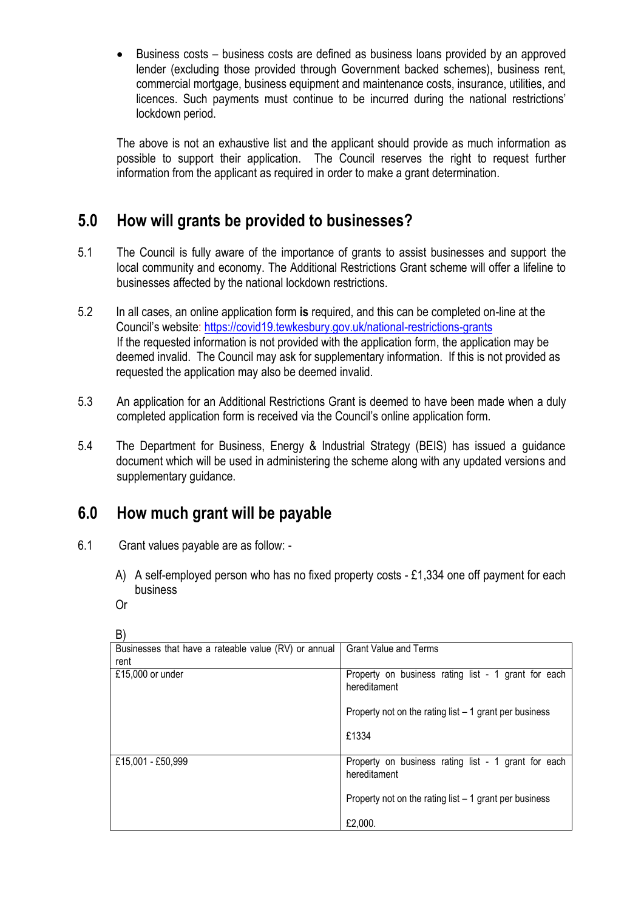Business costs – business costs are defined as business loans provided by an approved lender (excluding those provided through Government backed schemes), business rent, commercial mortgage, business equipment and maintenance costs, insurance, utilities, and licences. Such payments must continue to be incurred during the national restrictions' lockdown period.

The above is not an exhaustive list and the applicant should provide as much information as possible to support their application. The Council reserves the right to request further information from the applicant as required in order to make a grant determination.

## <span id="page-7-0"></span>**5.0 How will grants be provided to businesses?**

- 5.1 The Council is fully aware of the importance of grants to assist businesses and support the local community and economy. The Additional Restrictions Grant scheme will offer a lifeline to businesses affected by the national lockdown restrictions.
- 5.2 In all cases, an online application form **is** required, and this can be completed on-line at the Council's website:<https://covid19.tewkesbury.gov.uk/national-restrictions-grants> If the requested information is not provided with the application form, the application may be deemed invalid. The Council may ask for supplementary information. If this is not provided as requested the application may also be deemed invalid.
- 5.3 An application for an Additional Restrictions Grant is deemed to have been made when a duly completed application form is received via the Council's online application form.
- 5.4 The Department for Business, Energy & Industrial Strategy (BEIS) has issued a guidance document which will be used in administering the scheme along with any updated versions and supplementary guidance.

# <span id="page-7-1"></span>**6.0 How much grant will be payable**

- 6.1 Grant values payable are as follow:
	- A) A self-employed person who has no fixed property costs £1,334 one off payment for each business
	- Or

| , ب                                                          |                                                                     |
|--------------------------------------------------------------|---------------------------------------------------------------------|
| Businesses that have a rateable value (RV) or annual<br>rent | <b>Grant Value and Terms</b>                                        |
| £15,000 or under                                             | Property on business rating list - 1 grant for each<br>hereditament |
|                                                              | Property not on the rating list $-1$ grant per business             |
|                                                              | £1334                                                               |
| £15,001 - £50,999                                            | Property on business rating list - 1 grant for each<br>hereditament |
|                                                              | Property not on the rating list $-1$ grant per business             |
|                                                              | £2,000.                                                             |

B)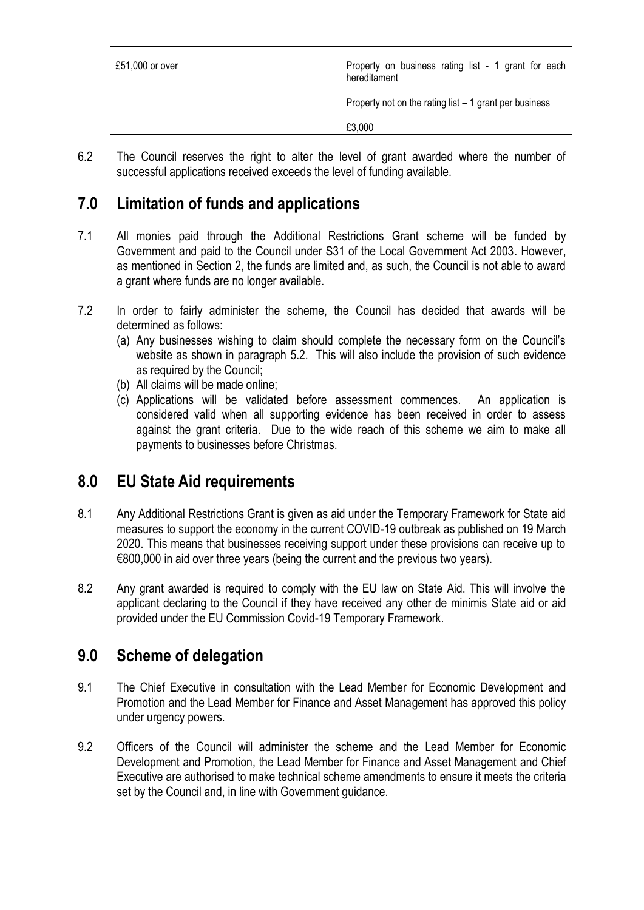| £51,000 or over | Property on business rating list - 1 grant for each<br>hereditament |
|-----------------|---------------------------------------------------------------------|
|                 | Property not on the rating list $-1$ grant per business             |
|                 | £3,000                                                              |

6.2 The Council reserves the right to alter the level of grant awarded where the number of successful applications received exceeds the level of funding available.

## <span id="page-8-0"></span>**7.0 Limitation of funds and applications**

- 7.1 All monies paid through the Additional Restrictions Grant scheme will be funded by Government and paid to the Council under S31 of the Local Government Act 2003. However, as mentioned in Section 2, the funds are limited and, as such, the Council is not able to award a grant where funds are no longer available.
- 7.2 In order to fairly administer the scheme, the Council has decided that awards will be determined as follows:
	- (a) Any businesses wishing to claim should complete the necessary form on the Council's website as shown in paragraph 5.2. This will also include the provision of such evidence as required by the Council;
	- (b) All claims will be made online;
	- (c) Applications will be validated before assessment commences. An application is considered valid when all supporting evidence has been received in order to assess against the grant criteria. Due to the wide reach of this scheme we aim to make all payments to businesses before Christmas.

## <span id="page-8-1"></span>**8.0 EU State Aid requirements**

- 8.1 Any Additional Restrictions Grant is given as aid under the Temporary Framework for State aid measures to support the economy in the current COVID-19 outbreak as published on 19 March 2020. This means that businesses receiving support under these provisions can receive up to €800,000 in aid over three years (being the current and the previous two years).
- 8.2 Any grant awarded is required to comply with the EU law on State Aid. This will involve the applicant declaring to the Council if they have received any other de minimis State aid or aid provided under the EU Commission Covid-19 Temporary Framework.

## <span id="page-8-2"></span>**9.0 Scheme of delegation**

- 9.1 The Chief Executive in consultation with the Lead Member for Economic Development and Promotion and the Lead Member for Finance and Asset Management has approved this policy under urgency powers.
- 9.2 Officers of the Council will administer the scheme and the Lead Member for Economic Development and Promotion, the Lead Member for Finance and Asset Management and Chief Executive are authorised to make technical scheme amendments to ensure it meets the criteria set by the Council and, in line with Government guidance.